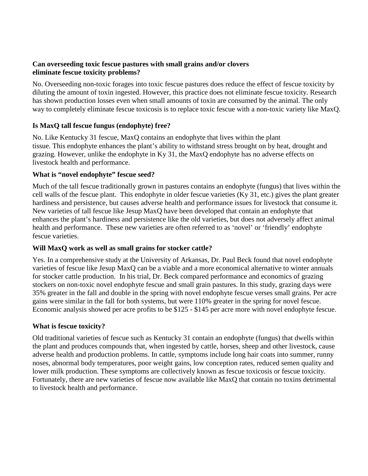### **Can overseeding toxic fescue pastures with small grains and/or clovers eliminate fescue toxicity problems?**

No. Overseeding non-toxic forages into toxic fescue pastures does reduce the effect of fescue toxicity by diluting the amount of toxin ingested. However, this practice does not eliminate fescue toxicity. Research has shown production losses even when small amounts of toxin are consumed by the animal. The only way to completely eliminate fescue toxicosis is to replace toxic fescue with a non-toxic variety like MaxQ.

# **Is MaxQ tall fescue fungus (endophyte) free?**

No. Like Kentucky 31 fescue, MaxQ contains an endophyte that lives within the plant tissue. This endophyte enhances the plant's ability to withstand stress brought on by heat, drought and grazing. However, unlike the endophyte in Ky 31, the MaxQ endophyte has no adverse effects on livestock health and performance.

## **What is "novel endophyte" fescue seed?**

Much of the tall fescue traditionally grown in pastures contains an endophyte (fungus) that lives within the cell walls of the fescue plant. This endophyte in older fescue varieties (Ky 31, etc.) gives the plant greater hardiness and persistence, but causes adverse health and performance issues for livestock that consume it. New varieties of tall fescue like Jesup MaxQ have been developed that contain an endophyte that enhances the plant's hardiness and persistence like the old varieties, but does not adversely affect animal health and performance. These new varieties are often referred to as 'novel' or 'friendly' endophyte fescue varieties.

## **Will MaxQ work as well as small grains for stocker cattle?**

Yes. In a comprehensive study at the University of Arkansas, Dr. Paul Beck found that novel endophyte varieties of fescue like Jesup MaxQ can be a viable and a more economical alternative to winter annuals for stocker cattle production. In his trial, Dr. Beck compared performance and economics of grazing stockers on non-toxic novel endophyte fescue and small grain pastures. In this study, grazing days were 35% greater in the fall and double in the spring with novel endophyte fescue verses small grains. Per acre gains were similar in the fall for both systems, but were 110% greater in the spring for novel fescue. Economic analysis showed per acre profits to be \$125 - \$145 per acre more with novel endophyte fescue.

## **What is fescue toxicity?**

Old traditional varieties of fescue such as Kentucky 31 contain an endophyte (fungus) that dwells within the plant and produces compounds that, when ingested by cattle, horses, sheep and other livestock, cause adverse health and production problems. In cattle, symptoms include long hair coats into summer, runny noses, abnormal body temperatures, poor weight gains, low conception rates, reduced semen quality and lower milk production. These symptoms are collectively known as fescue toxicosis or fescue toxicity. Fortunately, there are new varieties of fescue now available like MaxQ that contain no toxins detrimental to livestock health and performance.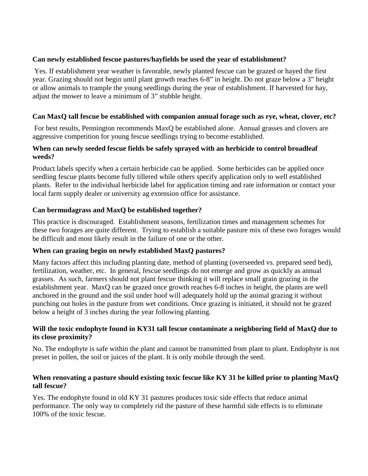### **Can newly established fescue pastures/hayfields be used the year of establishment?**

Yes. If establishment year weather is favorable, newly planted fescue can be grazed or hayed the first year. Grazing should not begin until plant growth reaches 6-8" in height. Do not graze below a 3" height or allow animals to trample the young seedlings during the year of establishment. If harvested for hay, adjust the mower to leave a minimum of 3" stubble height.

#### **Can MaxQ tall fescue be established with companion annual forage such as rye, wheat, clover, etc?**

For best results, Pennington recommends MaxQ be established alone. Annual grasses and clovers are aggressive competition for young fescue seedlings trying to become established.

#### **When can newly seeded fescue fields be safely sprayed with an herbicide to control broadleaf weeds?**

Product labels specify when a certain herbicide can be applied. Some herbicides can be applied once seedling fescue plants become fully tillered while others specify application only to well established plants. Refer to the individual herbicide label for application timing and rate information or contact your local farm supply dealer or university ag extension office for assistance.

### **Can bermudagrass and MaxQ be established together?**

This practice is discouraged. Establishment seasons, fertilization times and management schemes for these two forages are quite different. Trying to establish a suitable pasture mix of these two forages would be difficult and most likely result in the failure of one or the other.

#### **When can grazing begin on newly established MaxQ pastures?**

Many factors affect this including planting date, method of planting (overseeded vs. prepared seed bed), fertilization, weather, etc. In general, fescue seedlings do not emerge and grow as quickly as annual grasses. As such, farmers should not plant fescue thinking it will replace small grain grazing in the establishment year. MaxQ can be grazed once growth reaches 6-8 inches in height, the plants are well anchored in the ground and the soil under hoof will adequately hold up the animal grazing it without punching out holes in the pasture from wet conditions. Once grazing is initiated, it should not be grazed below a height of 3 inches during the year following planting.

#### **Will the toxic endophyte found in KY31 tall fescue contaminate a neighboring field of MaxQ due to its close proximity?**

No. The endophyte is safe within the plant and cannot be transmitted from plant to plant. Endophyte is not preset in pollen, the soil or juices of the plant. It is only mobile through the seed.

#### **When renovating a pasture should existing toxic fescue like KY 31 be killed prior to planting MaxQ tall fescue?**

Yes. The endophyte found in old KY 31 pastures produces toxic side effects that reduce animal performance. The only way to completely rid the pasture of these harmful side effects is to eliminate 100% of the toxic fescue.